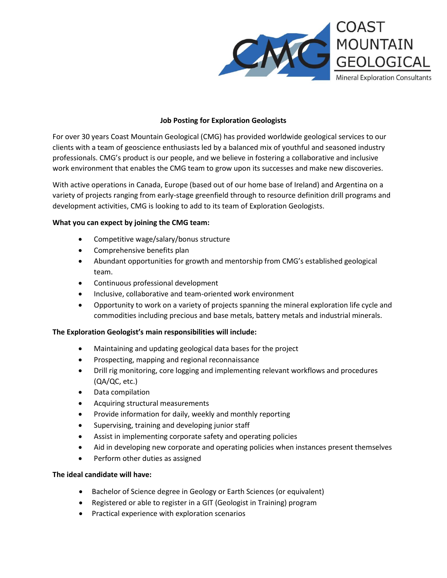

## **Job Posting for Exploration Geologists**

For over 30 years Coast Mountain Geological (CMG) has provided worldwide geological services to our clients with a team of geoscience enthusiasts led by a balanced mix of youthful and seasoned industry professionals. CMG's product is our people, and we believe in fostering a collaborative and inclusive work environment that enables the CMG team to grow upon its successes and make new discoveries.

With active operations in Canada, Europe (based out of our home base of Ireland) and Argentina on a variety of projects ranging from early-stage greenfield through to resource definition drill programs and development activities, CMG is looking to add to its team of Exploration Geologists.

## **What you can expect by joining the CMG team:**

- Competitive wage/salary/bonus structure
- Comprehensive benefits plan
- Abundant opportunities for growth and mentorship from CMG's established geological team.
- Continuous professional development
- Inclusive, collaborative and team-oriented work environment
- Opportunity to work on a variety of projects spanning the mineral exploration life cycle and commodities including precious and base metals, battery metals and industrial minerals.

## **The Exploration Geologist's main responsibilities will include:**

- Maintaining and updating geological data bases for the project
- Prospecting, mapping and regional reconnaissance
- Drill rig monitoring, core logging and implementing relevant workflows and procedures (QA/QC, etc.)
- Data compilation
- Acquiring structural measurements
- Provide information for daily, weekly and monthly reporting
- Supervising, training and developing junior staff
- Assist in implementing corporate safety and operating policies
- Aid in developing new corporate and operating policies when instances present themselves
- Perform other duties as assigned

## **The ideal candidate will have:**

- Bachelor of Science degree in Geology or Earth Sciences (or equivalent)
- Registered or able to register in a GIT (Geologist in Training) program
- Practical experience with exploration scenarios